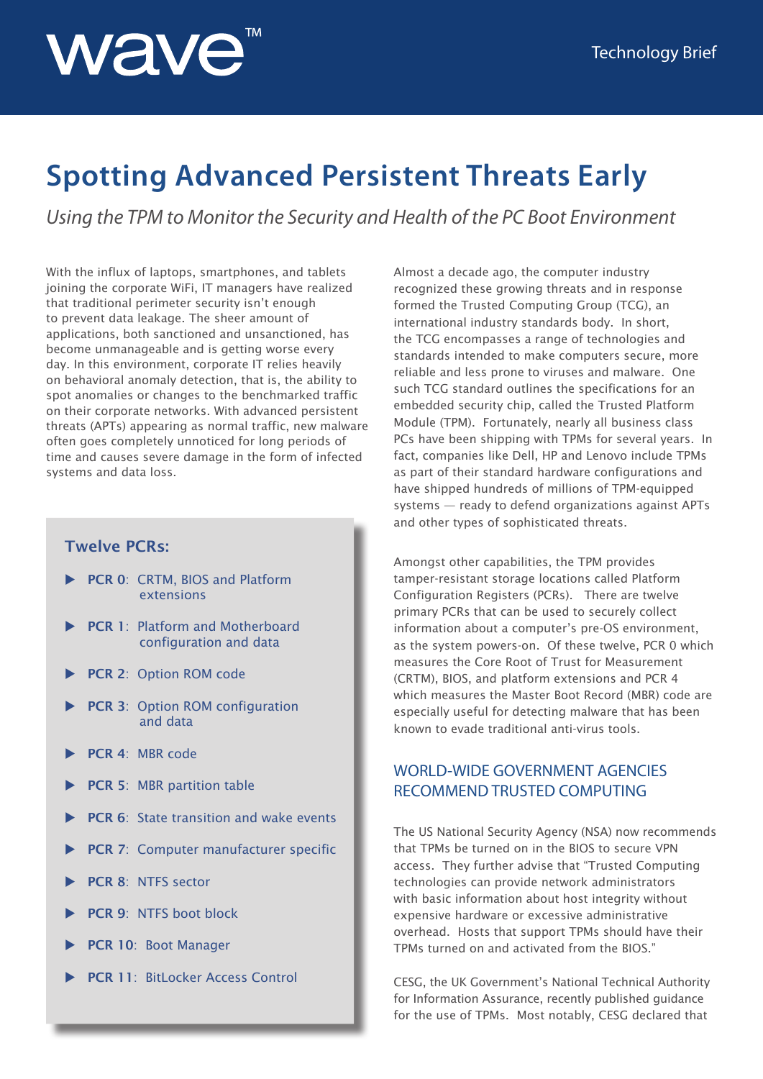

# **Spotting Advanced Persistent Threats Early**

*Using the TPM to Monitor the Security and Health of the PC Boot Environment*

With the influx of laptops, smartphones, and tablets joining the corporate WiFi, IT managers have realized that traditional perimeter security isn't enough to prevent data leakage. The sheer amount of applications, both sanctioned and unsanctioned, has become unmanageable and is getting worse every day. In this environment, corporate IT relies heavily on behavioral anomaly detection, that is, the ability to spot anomalies or changes to the benchmarked traffic on their corporate networks. With advanced persistent threats (APTs) appearing as normal traffic, new malware often goes completely unnoticed for long periods of time and causes severe damage in the form of infected systems and data loss.

#### **Twelve PCRs:**

- PCR 0: CRTM, BIOS and Platform extensions
- **PCR 1: Platform and Motherboard** configuration and data
- **PCR 2: Option ROM code**
- PCR 3: Option ROM configuration and data
- PCR 4: MBR code
- **PCR 5: MBR partition table**
- **PCR 6:** State transition and wake events
- **PCR 7: Computer manufacturer specific**
- PCR 8: NTFS sector
- PCR 9: NTFS boot block
- PCR 10: Boot Manager
- PCR 11: BitLocker Access Control

Almost a decade ago, the computer industry recognized these growing threats and in response formed the Trusted Computing Group (TCG), an international industry standards body. In short, the TCG encompasses a range of technologies and standards intended to make computers secure, more reliable and less prone to viruses and malware. One such TCG standard outlines the specifications for an embedded security chip, called the Trusted Platform Module (TPM). Fortunately, nearly all business class PCs have been shipping with TPMs for several years. In fact, companies like Dell, HP and Lenovo include TPMs as part of their standard hardware configurations and have shipped hundreds of millions of TPM-equipped systems — ready to defend organizations against APTs and other types of sophisticated threats.

Amongst other capabilities, the TPM provides tamper-resistant storage locations called Platform Configuration Registers (PCRs). There are twelve primary PCRs that can be used to securely collect information about a computer's pre-OS environment, as the system powers-on. Of these twelve, PCR 0 which measures the Core Root of Trust for Measurement (CRTM), BIOS, and platform extensions and PCR 4 which measures the Master Boot Record (MBR) code are especially useful for detecting malware that has been known to evade traditional anti-virus tools.

### WORLD-WIDE GOVERNMENT AGENCIES RECOMMEND TRUSTED COMPUTING

The US National Security Agency (NSA) now recommends that TPMs be turned on in the BIOS to secure VPN access. They further advise that "Trusted Computing technologies can provide network administrators with basic information about host integrity without expensive hardware or excessive administrative overhead. Hosts that support TPMs should have their TPMs turned on and activated from the BIOS."

CESG, the UK Government's National Technical Authority for Information Assurance, recently published guidance for the use of TPMs. Most notably, CESG declared that